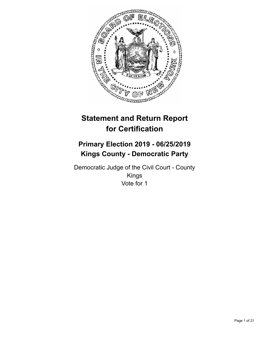

# **Statement and Return Report for Certification**

## **Primary Election 2019 - 06/25/2019 Kings County - Democratic Party**

Democratic Judge of the Civil Court - County Kings Vote for 1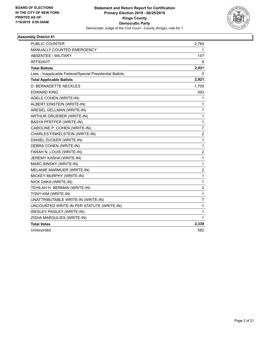

| <b>PUBLIC COUNTER</b>                                    | 2,764            |
|----------------------------------------------------------|------------------|
| MANUALLY COUNTED EMERGENCY                               | 1                |
| <b>ABSENTEE / MILITARY</b>                               | 147              |
| <b>AFFIDAVIT</b>                                         | 9                |
| <b>Total Ballots</b>                                     | 2,921            |
| Less - Inapplicable Federal/Special Presidential Ballots | 0                |
| <b>Total Applicable Ballots</b>                          | 2,921            |
| <b>D. BERNADETTE NECKLES</b>                             | 1,709            |
| EDWARD KING                                              | 593              |
| ADELE COHEN (WRITE-IN)                                   | 1                |
| ALBERT EINSTEIN (WRITE-IN)                               | 1                |
| ARESEL GELLMAN (WRITE-IN)                                | 1                |
| ARTHUR GRUENER (WRITE-IN)                                | 1                |
| BASYA PFEFFER (WRITE-IN)                                 | $\mathbf{1}$     |
| CAROLINE P. COHEN (WRITE-IN)                             | $\overline{7}$   |
| CHARLES FINKELSTEIN (WRITE-IN)                           | $\boldsymbol{2}$ |
| DANIEL ZUCKER (WRITE-IN)                                 | 1                |
| DEBRA COHEN (WRITE-IN)                                   | 1                |
| FARAH N. LOUIS (WRITE-IN)                                | $\overline{c}$   |
| JEREMY KASHA (WRITE-IN)                                  | 1                |
| MARC BINSKY (WRITE-IN)                                   | 1                |
| MELANIE MARMUER (WRITE-IN)                               | $\overline{c}$   |
| MICKEY MURPHY (WRITE-IN)                                 | $\mathbf{1}$     |
| NICK DAKA (WRITE-IN)                                     | $\mathbf{1}$     |
| TEHILAH H. BERMAN (WRITE-IN)                             | $\overline{c}$   |
| TONY KIM (WRITE-IN)                                      | 1                |
| UNATTRIBUTABLE WRITE-IN (WRITE-IN)                       | $\overline{7}$   |
| UNCOUNTED WRITE-IN PER STATUTE (WRITE-IN)                | 1                |
| WESLEY PAISLEY (WRITE-IN)                                | 1                |
| ZISHA MARGULIES (WRITE-IN)                               | 1                |
| <b>Total Votes</b>                                       | 2,339            |
| Unrecorded                                               | 582              |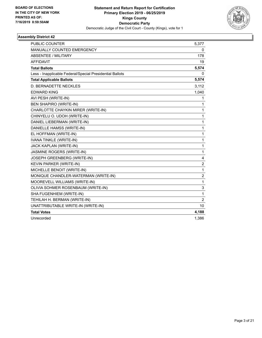

| PUBLIC COUNTER                                           | 5,377          |
|----------------------------------------------------------|----------------|
| <b>MANUALLY COUNTED EMERGENCY</b>                        | 0              |
| <b>ABSENTEE / MILITARY</b>                               | 178            |
| <b>AFFIDAVIT</b>                                         | 19             |
| <b>Total Ballots</b>                                     | 5,574          |
| Less - Inapplicable Federal/Special Presidential Ballots | 0              |
| <b>Total Applicable Ballots</b>                          | 5,574          |
| D. BERNADETTE NECKLES                                    | 3,112          |
| <b>EDWARD KING</b>                                       | 1,040          |
| AVI PESH (WRITE-IN)                                      | 1              |
| <b>BEN SHAPIRO (WRITE-IN)</b>                            | 1              |
| CHARLOTTE CHAYKIN MIRER (WRITE-IN)                       | 1              |
| CHINYELU O. UDOH (WRITE-IN)                              | $\mathbf{1}$   |
| DANIEL LIEBERMAN (WRITE-IN)                              | 1              |
| DANIELLE HAMSS (WRITE-IN)                                | 1              |
| EL HOFFMAN (WRITE-IN)                                    | 1              |
| IVANA TINKLE (WRITE-IN)                                  | 1              |
| JACK KAPLAN (WRITE-IN)                                   | 1              |
| JASMINE ROGERS (WRITE-IN)                                | 1              |
| JOSEPH GREENBERG (WRITE-IN)                              | 4              |
| KEVIN PARKER (WRITE-IN)                                  | 2              |
| MICHELLE BENOIT (WRITE-IN)                               | 1              |
| MONIQUE CHANDLER-WATERMAN (WRITE-IN)                     | $\overline{c}$ |
| MOOREVELL WILLIAMS (WRITE-IN)                            | 1              |
| OLIVIA SOHMER ROSENBAUM (WRITE-IN)                       | 3              |
| SHA FUGENHIEM (WRITE-IN)                                 | 1              |
| TEHILAH H. BERMAN (WRITE-IN)                             | 2              |
| UNATTRIBUTABLE WRITE-IN (WRITE-IN)                       | 10             |
| <b>Total Votes</b>                                       | 4,188          |
| Unrecorded                                               | 1,386          |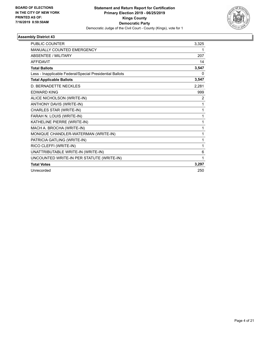

| <b>PUBLIC COUNTER</b>                                    | 3,325          |
|----------------------------------------------------------|----------------|
| <b>MANUALLY COUNTED EMERGENCY</b>                        | 1              |
| <b>ABSENTEE / MILITARY</b>                               | 207            |
| <b>AFFIDAVIT</b>                                         | 14             |
| <b>Total Ballots</b>                                     | 3,547          |
| Less - Inapplicable Federal/Special Presidential Ballots | $\Omega$       |
| <b>Total Applicable Ballots</b>                          | 3,547          |
| <b>D. BERNADETTE NECKLES</b>                             | 2,281          |
| <b>EDWARD KING</b>                                       | 999            |
| ALICE NICHOLSON (WRITE-IN)                               | $\overline{2}$ |
| ANTHONY DAVIS (WRITE-IN)                                 | 1              |
| CHARLES STAR (WRITE-IN)                                  | 1              |
| FARAH N. LOUIS (WRITE-IN)                                | 1              |
| KATHELINE PIERRE (WRITE-IN)                              | 1              |
| MACH A. BROCHA (WRITE-IN)                                | 1              |
| MONIQUE CHANDLER-WATERMAN (WRITE-IN)                     | 1              |
| PATRICIA GATLING (WRITE-IN)                              | 1              |
| RICO CLEFFI (WRITE-IN)                                   | 1              |
| UNATTRIBUTABLE WRITE-IN (WRITE-IN)                       | 6              |
| UNCOUNTED WRITE-IN PER STATUTE (WRITE-IN)                | 1              |
| <b>Total Votes</b>                                       | 3,297          |
| Unrecorded                                               | 250            |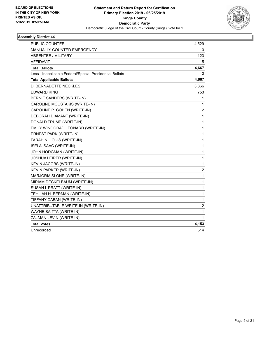

| PUBLIC COUNTER                                           | 4,529                   |
|----------------------------------------------------------|-------------------------|
| MANUALLY COUNTED EMERGENCY                               | 0                       |
| ABSENTEE / MILITARY                                      | 123                     |
| <b>AFFIDAVIT</b>                                         | 15                      |
| <b>Total Ballots</b>                                     | 4,667                   |
| Less - Inapplicable Federal/Special Presidential Ballots | 0                       |
| <b>Total Applicable Ballots</b>                          | 4,667                   |
| D. BERNADETTE NECKLES                                    | 3,366                   |
| EDWARD KING                                              | 753                     |
| BERNIE SANDERS (WRITE-IN)                                | 1                       |
| CAROLINE MOUSTAKIS (WRITE-IN)                            | 1                       |
| CAROLINE P. COHEN (WRITE-IN)                             | 2                       |
| DEBORAH DIAMANT (WRITE-IN)                               | $\mathbf{1}$            |
| DONALD TRUMP (WRITE-IN)                                  | $\mathbf 1$             |
| EMILY WINOGRAD LEONARD (WRITE-IN)                        | $\mathbf{1}$            |
| ERNEST PARK (WRITE-IN)                                   | $\mathbf{1}$            |
| FARAH N. LOUIS (WRITE-IN)                                | $\mathbf 1$             |
| <b>ISELA ISAAC (WRITE-IN)</b>                            | 1                       |
| JOHN HODGMAN (WRITE-IN)                                  | $\mathbf 1$             |
| JOSHUA LEIRER (WRITE-IN)                                 | $\mathbf{1}$            |
| KEVIN JACOBS (WRITE-IN)                                  | $\mathbf{1}$            |
| KEVIN PARKER (WRITE-IN)                                  | $\overline{\mathbf{c}}$ |
| MARJORIA SLONE (WRITE-IN)                                | 1                       |
| MIRIAM DECKELBAUM (WRITE-IN)                             | $\mathbf{1}$            |
| SUSAN L PRATT (WRITE-IN)                                 | $\mathbf{1}$            |
| TEHILAH H. BERMAN (WRITE-IN)                             | $\mathbf{1}$            |
| TIFFANY CABAN (WRITE-IN)                                 | $\mathbf{1}$            |
| UNATTRIBUTABLE WRITE-IN (WRITE-IN)                       | 12                      |
| WAYNE SAITTA (WRITE-IN)                                  | 1                       |
| ZALMAN LEVIN (WRITE-IN)                                  | 1                       |
| <b>Total Votes</b>                                       | 4,153                   |
| Unrecorded                                               | 514                     |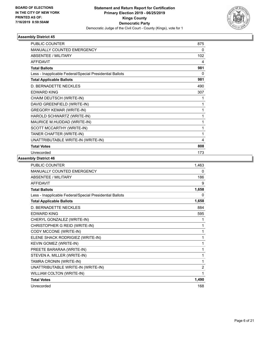

| <b>PUBLIC COUNTER</b>                                    | 875 |
|----------------------------------------------------------|-----|
| MANUALLY COUNTED EMERGENCY                               | 0   |
| <b>ABSENTEE / MILITARY</b>                               | 102 |
| <b>AFFIDAVIT</b>                                         | 4   |
| <b>Total Ballots</b>                                     | 981 |
| Less - Inapplicable Federal/Special Presidential Ballots | 0   |
| <b>Total Applicable Ballots</b>                          | 981 |
| D. BERNADETTE NECKLES                                    | 490 |
| <b>EDWARD KING</b>                                       | 307 |
| CHAIM DEUTSCH (WRITE-IN)                                 | 1   |
| DAVID GREENFIELD (WRITE-IN)                              | 1   |
| <b>GREGORY KEMAR (WRITE-IN)</b>                          | 1   |
| HAROLD SCHWARTZ (WRITE-IN)                               | 1   |
| MAURICE M.HUDDAD (WRITE-IN)                              | 1   |
| SCOTT MCCARTHY (WRITE-IN)                                | 1   |
| TANER CHAFTER (WRITE-IN)                                 | 1   |
| UNATTRIBUTABLE WRITE-IN (WRITE-IN)                       | 4   |
| <b>Total Votes</b>                                       | 808 |
| Unrecorded                                               | 173 |

| PUBLIC COUNTER                                           | 1,463          |
|----------------------------------------------------------|----------------|
| MANUALLY COUNTED EMERGENCY                               | 0              |
| <b>ABSENTEE / MILITARY</b>                               | 186            |
| <b>AFFIDAVIT</b>                                         | 9              |
| <b>Total Ballots</b>                                     | 1,658          |
| Less - Inapplicable Federal/Special Presidential Ballots | 0              |
| <b>Total Applicable Ballots</b>                          | 1,658          |
| D. BERNADETTE NECKLES                                    | 884            |
| <b>EDWARD KING</b>                                       | 595            |
| CHERYL GONZALEZ (WRITE-IN)                               | 1              |
| CHRISTOPHER G REID (WRITE-IN)                            | 1              |
| CODY MCCONE (WRITE-IN)                                   | 1              |
| ELENE SHACK RODRIGIEZ (WRITE-IN)                         | 1              |
| KEVIN GOMEZ (WRITE-IN)                                   | 1              |
| PREETE BARARAA (WRITE-IN)                                | 1              |
| STEVEN A. MILLER (WRITE-IN)                              | 1              |
| TAMRA CRONIN (WRITE-IN)                                  | 1              |
| UNATTRIBUTABLE WRITE-IN (WRITE-IN)                       | $\overline{2}$ |
| WILLIAM COLTON (WRITE-IN)                                | 1              |
| <b>Total Votes</b>                                       | 1,490          |
| Unrecorded                                               | 168            |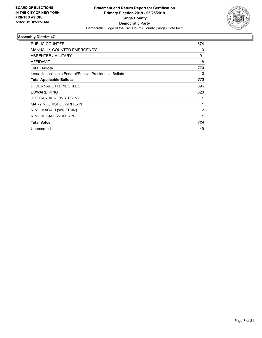

| PUBLIC COUNTER                                           | 674 |
|----------------------------------------------------------|-----|
| <b>MANUALLY COUNTED EMERGENCY</b>                        | 0   |
| ABSENTEE / MILITARY                                      | 91  |
| <b>AFFIDAVIT</b>                                         | 8   |
| <b>Total Ballots</b>                                     | 773 |
| Less - Inapplicable Federal/Special Presidential Ballots | 0   |
| <b>Total Applicable Ballots</b>                          | 773 |
| D. BERNADETTE NECKLES                                    | 396 |
| <b>EDWARD KING</b>                                       | 323 |
| JOE CARDIERI (WRITE-IN)                                  |     |
| MARY N. CRISPO (WRITE-IN)                                |     |
| NINO MAGALI (WRITE-IN)                                   | 2   |
| NINO MIGALI (WRITE-IN)                                   | 1   |
| <b>Total Votes</b>                                       | 724 |
| Unrecorded                                               | 49  |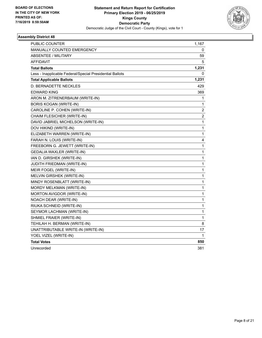

| PUBLIC COUNTER                                           | 1,167                   |
|----------------------------------------------------------|-------------------------|
| <b>MANUALLY COUNTED EMERGENCY</b>                        | 0                       |
| ABSENTEE / MILITARY                                      | 59                      |
| <b>AFFIDAVIT</b>                                         | 5                       |
| <b>Total Ballots</b>                                     | 1,231                   |
| Less - Inapplicable Federal/Special Presidential Ballots | 0                       |
| <b>Total Applicable Ballots</b>                          | 1,231                   |
| <b>D. BERNADETTE NECKLES</b>                             | 429                     |
| <b>EDWARD KING</b>                                       | 369                     |
| ARON M. ZITRENERBAUM (WRITE-IN)                          | 1                       |
| BORIS KOGAN (WRITE-IN)                                   | 1                       |
| CAROLINE P. COHEN (WRITE-IN)                             | 2                       |
| CHAIM FLESICHER (WRITE-IN)                               | $\overline{\mathbf{c}}$ |
| DAVID JABRIEL MICHELSON (WRITE-IN)                       | 1                       |
| DOV HIKIND (WRITE-IN)                                    | 1                       |
| ELIZABETH WARREN (WRITE-IN)                              | 1                       |
| FARAH N. LOUIS (WRITE-IN)                                | 4                       |
| FREEBORN G. JEWETT (WRITE-IN)                            | 1                       |
| <b>GEDALIA WAXLER (WRITE-IN)</b>                         | 1                       |
| IAN D. GIRSHEK (WRITE-IN)                                | 1                       |
| JUDITH FRIEDMAN (WRITE-IN)                               | 1                       |
| MEIR FOGEL (WRITE-IN)                                    | 1                       |
| MELVIN GIRSHEK (WRITE-IN)                                | $\mathbf{1}$            |
| MINDY ROSENBLATT (WRITE-IN)                              | 1                       |
| MORDY MELKMAN (WRITE-IN)                                 | 1                       |
| MORTON AVIGDOR (WRITE-IN)                                | 1                       |
| NOACH DEAR (WRITE-IN)                                    | 1                       |
| RIUKA SCHNEID (WRITE-IN)                                 | 1                       |
| SEYMOR LACHMAN (WRITE-IN)                                | 1                       |
| SHMIEL FRAIER (WRITE-IN)                                 | 1                       |
| TEHILAH H. BERMAN (WRITE-IN)                             | 8                       |
| UNATTRIBUTABLE WRITE-IN (WRITE-IN)                       | 17                      |
| YOEL VIZEL (WRITE-IN)                                    | 1                       |
| <b>Total Votes</b>                                       | 850                     |
| Unrecorded                                               | 381                     |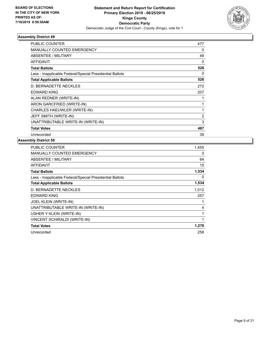

| <b>PUBLIC COUNTER</b>                                    | 477            |
|----------------------------------------------------------|----------------|
| <b>MANUALLY COUNTED EMERGENCY</b>                        | 0              |
| ABSENTEE / MILITARY                                      | 49             |
| <b>AFFIDAVIT</b>                                         | 0              |
| <b>Total Ballots</b>                                     | 526            |
| Less - Inapplicable Federal/Special Presidential Ballots | 0              |
| <b>Total Applicable Ballots</b>                          | 526            |
| D. BERNADETTE NECKLES                                    | 272            |
| <b>EDWARD KING</b>                                       | 207            |
| ALAN REDNER (WRITE-IN)                                   |                |
| ARON GARCFRIED (WRITE-IN)                                | $\mathbf{1}$   |
| CHARLES HAEUWLER (WRITE-IN)                              | 1              |
| JEFF SMITH (WRITE-IN)                                    | $\overline{2}$ |
| UNATTRIBUTABLE WRITE-IN (WRITE-IN)                       | 3              |
| <b>Total Votes</b>                                       | 487            |
| Unrecorded                                               | 39             |

| 1,455 |
|-------|
| 0     |
| 64    |
| 15    |
| 1,534 |
| 0     |
| 1,534 |
| 1,012 |
| 257   |
|       |
| 4     |
| 1     |
| 1     |
| 1,276 |
| 258   |
|       |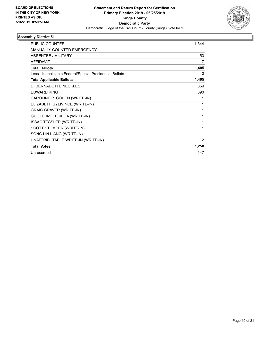

| PUBLIC COUNTER                                           | 1,344          |
|----------------------------------------------------------|----------------|
| <b>MANUALLY COUNTED EMERGENCY</b>                        | 1              |
|                                                          |                |
| ABSENTEE / MILITARY                                      | 53             |
| <b>AFFIDAVIT</b>                                         | 7              |
| <b>Total Ballots</b>                                     | 1,405          |
| Less - Inapplicable Federal/Special Presidential Ballots | 0              |
| <b>Total Applicable Ballots</b>                          | 1,405          |
| <b>D. BERNADETTE NECKLES</b>                             | 859            |
| <b>EDWARD KING</b>                                       | 390            |
| CAROLINE P. COHEN (WRITE-IN)                             | 1              |
| ELIZABETH SYLIVINCE (WRITE-IN)                           | 1              |
| <b>GRAIG CRAVER (WRITE-IN)</b>                           | 1              |
| GUILLERMO TEJEDA (WRITE-IN)                              | 1              |
| <b>ISSAC TESSLER (WRITE-IN)</b>                          | 1              |
| SCOTT STUMPER (WRITE-IN)                                 | 1              |
| SONG LIN LIANG (WRITE-IN)                                | 1              |
| UNATTRIBUTABLE WRITE-IN (WRITE-IN)                       | $\overline{2}$ |
| <b>Total Votes</b>                                       | 1,258          |
| Unrecorded                                               | 147            |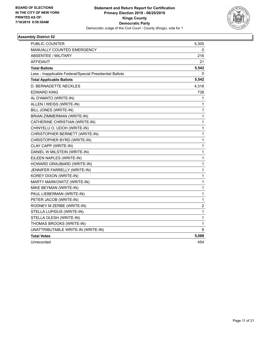

| <b>PUBLIC COUNTER</b>                                    | 5,305          |
|----------------------------------------------------------|----------------|
| MANUALLY COUNTED EMERGENCY                               | 0              |
| <b>ABSENTEE / MILITARY</b>                               | 216            |
| <b>AFFIDAVIT</b>                                         | 21             |
| <b>Total Ballots</b>                                     | 5,542          |
| Less - Inapplicable Federal/Special Presidential Ballots | 0              |
| <b>Total Applicable Ballots</b>                          | 5,542          |
| D. BERNADETTE NECKLES                                    | 4,318          |
| <b>EDWARD KING</b>                                       | 738            |
| AL D'AMATO (WRITE-IN)                                    | 1              |
| ALLEN I WEISS (WRITE-IN)                                 | 1              |
| BILL JONES (WRITE-IN)                                    | 1              |
| BRIAN ZIMMERMAN (WRITE-IN)                               | 1              |
| CATHERINE CHRISTIAN (WRITE-IN)                           | 1              |
| CHINYELU O. UDOH (WRITE-IN)                              | 1              |
| CHRISTOPHER BERNETT (WRITE-IN)                           | 1              |
| CHRISTOPHER BYRD (WRITE-IN)                              | 1              |
| CLAY CAPP (WRITE-IN)                                     | 1              |
| DANIEL W MILSTEIN (WRITE-IN)                             | 1              |
| EILEEN NAPLES (WRITE-IN)                                 | 1              |
| HOWARD GRAUBARD (WRITE-IN)                               | 1              |
| JENNIFER FARRELLY (WRITE-IN)                             | 1              |
| KOREY DIXON (WRITE-IN)                                   | 1              |
| MARTY MARKOWITZ (WRITE-IN)                               | 1              |
| MIKE BEYMAN (WRITE-IN)                                   | 1              |
| PAUL LIEBERMAN (WRITE-IN)                                | $\mathbf{1}$   |
| PETER JACOB (WRITE-IN)                                   | $\mathbf 1$    |
| RODNEY M ZERBE (WRITE-IN)                                | $\overline{c}$ |
| STELLA LUPIDUS (WRITE-IN)                                | 1              |
| STELLA OLESH (WRITE-IN)                                  | 1              |
| THOMAS BROOKS (WRITE-IN)                                 | 1              |
| UNATTRIBUTABLE WRITE-IN (WRITE-IN)                       | 9              |
| <b>Total Votes</b>                                       | 5,088          |
| Unrecorded                                               | 454            |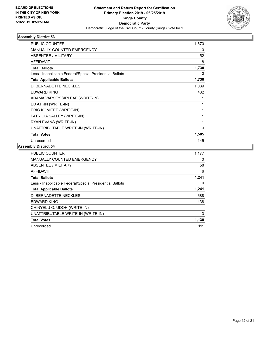

| PUBLIC COUNTER                                           | 1,670 |
|----------------------------------------------------------|-------|
| <b>MANUALLY COUNTED EMERGENCY</b>                        | 0     |
| ABSENTEE / MILITARY                                      | 52    |
| <b>AFFIDAVIT</b>                                         | 8     |
| <b>Total Ballots</b>                                     | 1,730 |
| Less - Inapplicable Federal/Special Presidential Ballots | 0     |
| <b>Total Applicable Ballots</b>                          | 1,730 |
| D. BERNADETTE NECKLES                                    | 1,089 |
| <b>EDWARD KING</b>                                       | 482   |
| ADAMA VARSEY SIRLEAF (WRITE-IN)                          | 1     |
| ED ATKIN (WRITE-IN)                                      | 1     |
| ERIC KOMITEE (WRITE-IN)                                  | 1     |
| PATRICIA SALLEY (WRITE-IN)                               | 1     |
| RYAN EVANS (WRITE-IN)                                    | 1     |
| UNATTRIBUTABLE WRITE-IN (WRITE-IN)                       | 9     |
| <b>Total Votes</b>                                       | 1,585 |
| Unrecorded                                               | 145   |

| <b>PUBLIC COUNTER</b>                                    | 1,177 |
|----------------------------------------------------------|-------|
| <b>MANUALLY COUNTED EMERGENCY</b>                        | 0     |
| ABSENTEE / MILITARY                                      | 58    |
| AFFIDAVIT                                                | 6     |
| <b>Total Ballots</b>                                     | 1,241 |
| Less - Inapplicable Federal/Special Presidential Ballots | 0     |
| <b>Total Applicable Ballots</b>                          | 1,241 |
| D. BERNADETTE NECKLES                                    | 688   |
| <b>EDWARD KING</b>                                       | 438   |
| CHINYELU O. UDOH (WRITE-IN)                              |       |
| UNATTRIBUTABLE WRITE-IN (WRITE-IN)                       | 3     |
| <b>Total Votes</b>                                       | 1,130 |
| Unrecorded                                               | 111   |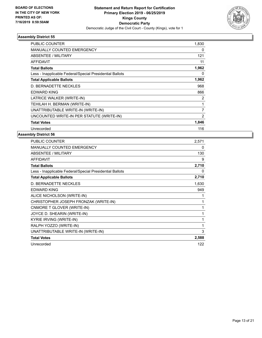

| PUBLIC COUNTER                                           | 1,830          |
|----------------------------------------------------------|----------------|
| <b>MANUALLY COUNTED EMERGENCY</b>                        | 0              |
| <b>ABSENTEE / MILITARY</b>                               | 121            |
| <b>AFFIDAVIT</b>                                         | 11             |
| <b>Total Ballots</b>                                     | 1,962          |
| Less - Inapplicable Federal/Special Presidential Ballots | 0              |
| <b>Total Applicable Ballots</b>                          | 1,962          |
| D. BERNADETTE NECKLES                                    | 968            |
| <b>EDWARD KING</b>                                       | 866            |
| LATRICE WALKER (WRITE-IN)                                | 2              |
| TEHILAH H. BERMAN (WRITE-IN)                             | 1              |
| UNATTRIBUTABLE WRITE-IN (WRITE-IN)                       | 7              |
| UNCOUNTED WRITE-IN PER STATUTE (WRITE-IN)                | $\overline{2}$ |
| <b>Total Votes</b>                                       | 1,846          |
| Unrecorded                                               | 116            |

| 2,571 |
|-------|
| 0     |
| 130   |
| 9     |
| 2,710 |
| 0     |
| 2,710 |
| 1,630 |
| 949   |
| 1     |
| 1     |
| 1     |
| 1     |
| 1     |
| 1     |
| 3     |
| 2,588 |
| 122   |
|       |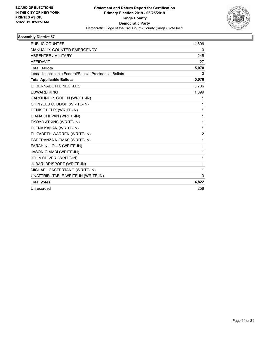

| <b>PUBLIC COUNTER</b>                                    | 4,806          |
|----------------------------------------------------------|----------------|
| <b>MANUALLY COUNTED EMERGENCY</b>                        | 0              |
| <b>ABSENTEE / MILITARY</b>                               | 245            |
| <b>AFFIDAVIT</b>                                         | 27             |
| <b>Total Ballots</b>                                     | 5,078          |
| Less - Inapplicable Federal/Special Presidential Ballots | 0              |
| <b>Total Applicable Ballots</b>                          | 5,078          |
| D. BERNADETTE NECKLES                                    | 3,706          |
| <b>EDWARD KING</b>                                       | 1,099          |
| CAROLINE P. COHEN (WRITE-IN)                             | $\mathbf{1}$   |
| CHINYELU O. UDOH (WRITE-IN)                              | 1              |
| DENISE FELIX (WRITE-IN)                                  | 1              |
| DIANA CHEVAN (WRITE-IN)                                  | 1              |
| EKOYD ATKINS (WRITE-IN)                                  | 1              |
| ELENA KAGAN (WRITE-IN)                                   | 1              |
| ELIZABETH WARREN (WRITE-IN)                              | $\overline{c}$ |
| ESPERANZA NIEMAS (WRITE-IN)                              | 1              |
| FARAH N. LOUIS (WRITE-IN)                                | 1              |
| JASON GIAMBI (WRITE-IN)                                  | 1              |
| JOHN OLIVER (WRITE-IN)                                   | 1              |
| <b>JUBARI BRISPORT (WRITE-IN)</b>                        | 1              |
| MICHAEL CASTERTANO (WRITE-IN)                            | 1              |
| UNATTRIBUTABLE WRITE-IN (WRITE-IN)                       | 3              |
| <b>Total Votes</b>                                       | 4,822          |
| Unrecorded                                               | 256            |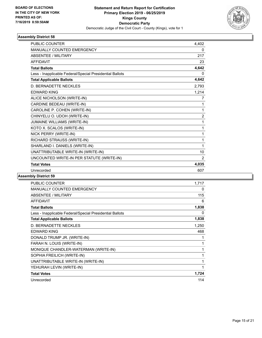

| PUBLIC COUNTER                                           | 4.402          |
|----------------------------------------------------------|----------------|
| <b>MANUALLY COUNTED EMERGENCY</b>                        | 0              |
| ABSENTEE / MILITARY                                      | 217            |
| <b>AFFIDAVIT</b>                                         | 23             |
| <b>Total Ballots</b>                                     | 4,642          |
| Less - Inapplicable Federal/Special Presidential Ballots | 0              |
| <b>Total Applicable Ballots</b>                          | 4,642          |
| D. BERNADETTE NECKLES                                    | 2,793          |
| <b>EDWARD KING</b>                                       | 1,214          |
| ALICE NICHOLSON (WRITE-IN)                               | 7              |
| CARDINE BEDEAU (WRITE-IN)                                | 1              |
| CAROLINE P. COHEN (WRITE-IN)                             | 1              |
| CHINYELU O. UDOH (WRITE-IN)                              | $\overline{c}$ |
| JUMAINE WILLIAMS (WRITE-IN)                              | 1              |
| KOTO X. SCALOS (WRITE-IN)                                | 1              |
| NICK PERRY (WRITE-IN)                                    | 1              |
| RICHARD STRAUSS (WRITE-IN)                               | 1              |
| SHARLAND I. DANIELS (WRITE-IN)                           | 1              |
| UNATTRIBUTABLE WRITE-IN (WRITE-IN)                       | 10             |
| UNCOUNTED WRITE-IN PER STATUTE (WRITE-IN)                | $\overline{2}$ |
| <b>Total Votes</b>                                       | 4,035          |
| Unrecorded                                               | 607            |
|                                                          |                |

| <b>PUBLIC COUNTER</b>                                    | 1.717 |
|----------------------------------------------------------|-------|
| <b>MANUALLY COUNTED EMERGENCY</b>                        | 0     |
| ABSENTEE / MILITARY                                      | 115   |
| <b>AFFIDAVIT</b>                                         | 6     |
| <b>Total Ballots</b>                                     | 1,838 |
| Less - Inapplicable Federal/Special Presidential Ballots | 0     |
| <b>Total Applicable Ballots</b>                          | 1,838 |
| D. BERNADETTE NECKLES                                    | 1,250 |
| <b>EDWARD KING</b>                                       | 468   |
| DONALD TRUMP JR. (WRITE-IN)                              | 1     |
| FARAH N. LOUIS (WRITE-IN)                                | 1     |
| MONIQUE CHANDLER-WATERMAN (WRITE-IN)                     | 1     |
| SOPHIA FREILICH (WRITE-IN)                               | 1     |
| UNATTRIBUTABLE WRITE-IN (WRITE-IN)                       | 1     |
| YEHURAH LEVIN (WRITE-IN)                                 | 1     |
| <b>Total Votes</b>                                       | 1,724 |
| Unrecorded                                               | 114   |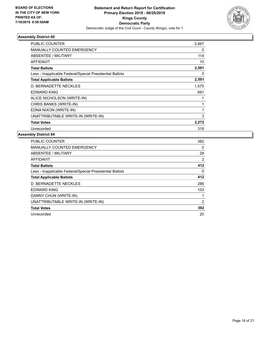

| PUBLIC COUNTER                                           | 2,467 |
|----------------------------------------------------------|-------|
| <b>MANUALLY COUNTED EMERGENCY</b>                        | 0     |
| ABSENTEE / MILITARY                                      | 114   |
| <b>AFFIDAVIT</b>                                         | 10    |
| <b>Total Ballots</b>                                     | 2,591 |
| Less - Inapplicable Federal/Special Presidential Ballots | 0     |
| <b>Total Applicable Ballots</b>                          | 2,591 |
| D. BERNADETTE NECKLES                                    | 1,575 |
| <b>EDWARD KING</b>                                       | 691   |
| ALICE NICHOLSON (WRITE-IN)                               |       |
| CHRIS BANKS (WRITE-IN)                                   |       |
| EDNA NIXON (WRITE-IN)                                    | 1     |
| UNATTRIBUTABLE WRITE-IN (WRITE-IN)                       | 3     |
| <b>Total Votes</b>                                       | 2,272 |
| Unrecorded                                               | 319   |

| <b>PUBLIC COUNTER</b>                                    | 382      |
|----------------------------------------------------------|----------|
| <b>MANUALLY COUNTED EMERGENCY</b>                        | 0        |
| ABSENTEE / MILITARY                                      | 28       |
| <b>AFFIDAVIT</b>                                         | 2        |
| <b>Total Ballots</b>                                     | 412      |
| Less - Inapplicable Federal/Special Presidential Ballots | $\Omega$ |
| <b>Total Applicable Ballots</b>                          | 412      |
| D. BERNADETTE NECKLES                                    | 286      |
| <b>EDWARD KING</b>                                       | 103      |
| DANNY CHUN (WRITE-IN)                                    |          |
| UNATTRIBUTABLE WRITE-IN (WRITE-IN)                       | 2        |
| <b>Total Votes</b>                                       | 392      |
| Unrecorded                                               | 20       |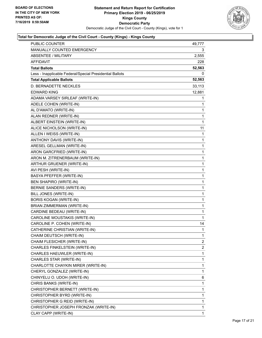

| PUBLIC COUNTER                                           | 49,777       |
|----------------------------------------------------------|--------------|
| MANUALLY COUNTED EMERGENCY                               | 3.           |
| <b>ABSENTEE / MILITARY</b>                               | 2,555        |
| AFFIDAVIT                                                | 228          |
| <b>Total Ballots</b>                                     | 52,563       |
| Less - Inapplicable Federal/Special Presidential Ballots | 0            |
| <b>Total Applicable Ballots</b>                          | 52,563       |
| D. BERNADETTE NECKLES                                    | 33,113       |
| EDWARD KING                                              | 12,881       |
| ADAMA VARSEY SIRLEAF (WRITE-IN)                          | 1            |
| ADELE COHEN (WRITE-IN)                                   | 1            |
| AL D'AMATO (WRITE-IN)                                    | 1            |
| ALAN REDNER (WRITE-IN)                                   | 1            |
| ALBERT EINSTEIN (WRITE-IN)                               | 1            |
| ALICE NICHOLSON (WRITE-IN)                               | 11           |
| ALLEN I WEISS (WRITE-IN)                                 | 1            |
| ANTHONY DAVIS (WRITE-IN)                                 | 1            |
| ARESEL GELLMAN (WRITE-IN)                                | 1            |
| ARON GARCFRIED (WRITE-IN)                                | 1            |
| ARON M. ZITRENERBAUM (WRITE-IN)                          | 1            |
| ARTHUR GRUENER (WRITE-IN)                                | 1            |
| AVI PESH (WRITE-IN)                                      | 1            |
| BASYA PFEFFER (WRITE-IN)                                 | 1            |
| <b>BEN SHAPIRO (WRITE-IN)</b>                            | 1            |
| BERNIE SANDERS (WRITE-IN)                                | 1            |
| BILL JONES (WRITE-IN)                                    | 1            |
| <b>BORIS KOGAN (WRITE-IN)</b>                            | 1            |
| BRIAN ZIMMERMAN (WRITE-IN)                               | 1            |
| CARDINE BEDEAU (WRITE-IN)                                | 1            |
| CAROLINE MOUSTAKIS (WRITE-IN)                            | 1            |
| CAROLINE P. COHEN (WRITE-IN)                             | 14           |
| CATHERINE CHRISTIAN (WRITE-IN)                           | $\mathbf{1}$ |
| CHAIM DEUTSCH (WRITE-IN)                                 | 1            |
| CHAIM FLESICHER (WRITE-IN)                               | 2            |
| CHARLES FINKELSTEIN (WRITE-IN)                           | 2            |
| CHARLES HAEUWLER (WRITE-IN)                              | 1            |
| CHARLES STAR (WRITE-IN)                                  | 1            |
| CHARLOTTE CHAYKIN MIRER (WRITE-IN)                       | 1            |
| CHERYL GONZALEZ (WRITE-IN)                               | 1            |
| CHINYELU O. UDOH (WRITE-IN)                              | 6            |
| CHRIS BANKS (WRITE-IN)                                   | 1            |
| CHRISTOPHER BERNETT (WRITE-IN)                           | 1            |
| CHRISTOPHER BYRD (WRITE-IN)                              | 1            |
| CHRISTOPHER G REID (WRITE-IN)                            | 1            |
| CHRISTOPHER JOSEPH FRONZAK (WRITE-IN)                    | 1            |
| CLAY CAPP (WRITE-IN)                                     | 1            |
|                                                          |              |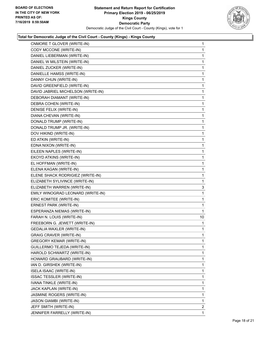

| CNMORE T GLOVER (WRITE-IN)         | $\mathbf{1}$ |
|------------------------------------|--------------|
| CODY MCCONE (WRITE-IN)             | 1            |
| DANIEL LIEBERMAN (WRITE-IN)        | 1            |
| DANIEL W MILSTEIN (WRITE-IN)       | 1            |
| DANIEL ZUCKER (WRITE-IN)           | 1            |
| DANIELLE HAMSS (WRITE-IN)          | 1            |
| DANNY CHUN (WRITE-IN)              | 1            |
| DAVID GREENFIELD (WRITE-IN)        | 1            |
| DAVID JABRIEL MICHELSON (WRITE-IN) | 1            |
| DEBORAH DIAMANT (WRITE-IN)         | 1            |
| DEBRA COHEN (WRITE-IN)             | 1            |
| DENISE FELIX (WRITE-IN)            | 1            |
| DIANA CHEVAN (WRITE-IN)            | 1            |
| DONALD TRUMP (WRITE-IN)            | 1            |
| DONALD TRUMP JR. (WRITE-IN)        | 1            |
| DOV HIKIND (WRITE-IN)              | 1            |
| ED ATKIN (WRITE-IN)                | 1            |
| EDNA NIXON (WRITE-IN)              | 1            |
| EILEEN NAPLES (WRITE-IN)           | 1            |
| EKOYD ATKINS (WRITE-IN)            | 1            |
| EL HOFFMAN (WRITE-IN)              | 1            |
| ELENA KAGAN (WRITE-IN)             | 1            |
| ELENE SHACK RODRIGIEZ (WRITE-IN)   | 1            |
| ELIZABETH SYLIVINCE (WRITE-IN)     | 1            |
| ELIZABETH WARREN (WRITE-IN)        | 3            |
| EMILY WINOGRAD LEONARD (WRITE-IN)  | 1            |
| ERIC KOMITEE (WRITE-IN)            | 1            |
| ERNEST PARK (WRITE-IN)             | 1            |
| ESPERANZA NIEMAS (WRITE-IN)        | 1            |
| FARAH N. LOUIS (WRITE-IN)          | 10           |
| FREEBORN G. JEWETT (WRITE-IN)      | 1            |
| GEDALIA WAXLER (WRITE-IN)          | 1            |
| GRAIG CRAVER (WRITE-IN)            | 1            |
| <b>GREGORY KEMAR (WRITE-IN)</b>    | 1            |
| GUILLERMO TEJEDA (WRITE-IN)        | 1            |
| HAROLD SCHWARTZ (WRITE-IN)         | 1            |
| HOWARD GRAUBARD (WRITE-IN)         | 1            |
| IAN D. GIRSHEK (WRITE-IN)          | 1            |
| ISELA ISAAC (WRITE-IN)             | 1            |
| <b>ISSAC TESSLER (WRITE-IN)</b>    | 1            |
| IVANA TINKLE (WRITE-IN)            | 1            |
| JACK KAPLAN (WRITE-IN)             | 1            |
| JASMINE ROGERS (WRITE-IN)          | 1            |
| JASON GIAMBI (WRITE-IN)            | 1            |
| JEFF SMITH (WRITE-IN)              | 2            |
| JENNIFER FARRELLY (WRITE-IN)       | 1            |
|                                    |              |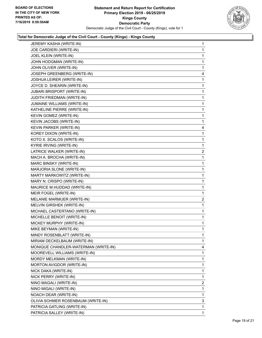

| JEREMY KASHA (WRITE-IN)              | $\mathbf{1}$   |
|--------------------------------------|----------------|
| JOE CARDIERI (WRITE-IN)              | 1              |
| JOEL KLEIN (WRITE-IN)                | 1              |
| JOHN HODGMAN (WRITE-IN)              | 1              |
| JOHN OLIVER (WRITE-IN)               | 1              |
| JOSEPH GREENBERG (WRITE-IN)          | 4              |
| JOSHUA LEIRER (WRITE-IN)             | 1              |
| JOYCE D. SHEARIN (WRITE-IN)          | 1              |
| <b>JUBARI BRISPORT (WRITE-IN)</b>    | 1              |
| JUDITH FRIEDMAN (WRITE-IN)           | 1              |
| JUMAINE WILLIAMS (WRITE-IN)          | 1              |
| KATHELINE PIERRE (WRITE-IN)          | 1              |
| KEVIN GOMEZ (WRITE-IN)               | 1              |
| KEVIN JACOBS (WRITE-IN)              | 1              |
| KEVIN PARKER (WRITE-IN)              | 4              |
| KOREY DIXON (WRITE-IN)               | 1              |
| KOTO X. SCALOS (WRITE-IN)            | 1              |
| KYRIE IRVING (WRITE-IN)              | 1              |
| LATRICE WALKER (WRITE-IN)            | $\overline{2}$ |
| MACH A. BROCHA (WRITE-IN)            | 1              |
| MARC BINSKY (WRITE-IN)               | 1              |
| MARJORIA SLONE (WRITE-IN)            | 1              |
| MARTY MARKOWITZ (WRITE-IN)           | 1              |
| MARY N. CRISPO (WRITE-IN)            | 1              |
| MAURICE M.HUDDAD (WRITE-IN)          | 1              |
| MEIR FOGEL (WRITE-IN)                | 1              |
| MELANIE MARMUER (WRITE-IN)           | $\overline{c}$ |
| MELVIN GIRSHEK (WRITE-IN)            | 1              |
| MICHAEL CASTERTANO (WRITE-IN)        | 1              |
| MICHELLE BENOIT (WRITE-IN)           | 1              |
| MICKEY MURPHY (WRITE-IN)             | 1              |
| MIKE BEYMAN (WRITE-IN)               | 1              |
| MINDY ROSENBLATT (WRITE-IN)          | 1              |
| MIRIAM DECKELBAUM (WRITE-IN)         | 1              |
| MONIQUE CHANDLER-WATERMAN (WRITE-IN) | 4              |
| MOOREVELL WILLIAMS (WRITE-IN)        | 1              |
| MORDY MELKMAN (WRITE-IN)             | 1              |
| MORTON AVIGDOR (WRITE-IN)            | 1              |
| NICK DAKA (WRITE-IN)                 | 1              |
| NICK PERRY (WRITE-IN)                | 1              |
| NINO MAGALI (WRITE-IN)               | 2              |
| NINO MIGALI (WRITE-IN)               | 1              |
| NOACH DEAR (WRITE-IN)                | 1              |
| OLIVIA SOHMER ROSENBAUM (WRITE-IN)   | 3              |
| PATRICIA GATLING (WRITE-IN)          | 1              |
| PATRICIA SALLEY (WRITE-IN)           | $\mathbf{1}$   |
|                                      |                |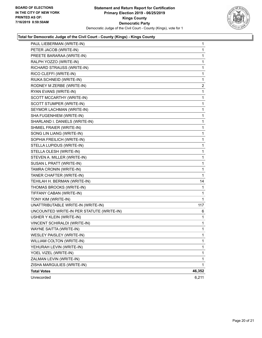

| PAUL LIEBERMAN (WRITE-IN)                 | $\mathbf{1}$ |
|-------------------------------------------|--------------|
| PETER JACOB (WRITE-IN)                    | $\mathbf{1}$ |
| PREETE BARARAA (WRITE-IN)                 | 1            |
| RALPH YOZZO (WRITE-IN)                    | 1            |
| RICHARD STRAUSS (WRITE-IN)                | 1            |
| RICO CLEFFI (WRITE-IN)                    | 1            |
| RIUKA SCHNEID (WRITE-IN)                  | 1            |
| RODNEY M ZERBE (WRITE-IN)                 | 2            |
| RYAN EVANS (WRITE-IN)                     | 1            |
| SCOTT MCCARTHY (WRITE-IN)                 | 1            |
| SCOTT STUMPER (WRITE-IN)                  | $\mathbf{1}$ |
| SEYMOR LACHMAN (WRITE-IN)                 | 1            |
| SHA FUGENHIEM (WRITE-IN)                  | 1            |
| SHARLAND I. DANIELS (WRITE-IN)            | $\mathbf{1}$ |
| SHMIEL FRAIER (WRITE-IN)                  | 1            |
| SONG LIN LIANG (WRITE-IN)                 | 1            |
| SOPHIA FREILICH (WRITE-IN)                | $\mathbf{1}$ |
| STELLA LUPIDUS (WRITE-IN)                 | 1            |
| STELLA OLESH (WRITE-IN)                   | 1            |
| STEVEN A. MILLER (WRITE-IN)               | $\mathbf{1}$ |
| SUSAN L PRATT (WRITE-IN)                  | 1            |
| TAMRA CRONIN (WRITE-IN)                   | 1            |
| TANER CHAFTER (WRITE-IN)                  | 1            |
| TEHILAH H. BERMAN (WRITE-IN)              | 14           |
| THOMAS BROOKS (WRITE-IN)                  | 1            |
| TIFFANY CABAN (WRITE-IN)                  | 1            |
| TONY KIM (WRITE-IN)                       | 1            |
| UNATTRIBUTABLE WRITE-IN (WRITE-IN)        | 117          |
| UNCOUNTED WRITE-IN PER STATUTE (WRITE-IN) | 6            |
| USHER Y KLEIN (WRITE-IN)                  | 1            |
| VINCENT SCHIRALDI (WRITE-IN)              | 1            |
| WAYNE SAITTA (WRITE-IN)                   | 1            |
| <b>WESLEY PAISLEY (WRITE-IN)</b>          | $\mathbf 1$  |
| WILLIAM COLTON (WRITE-IN)                 | 1            |
| YEHURAH LEVIN (WRITE-IN)                  | $\mathbf{1}$ |
| YOEL VIZEL (WRITE-IN)                     | 1            |
| ZALMAN LEVIN (WRITE-IN)                   | 1            |
| ZISHA MARGULIES (WRITE-IN)                | $\mathbf{1}$ |
| <b>Total Votes</b>                        | 46,352       |
| Unrecorded                                | 6,211        |